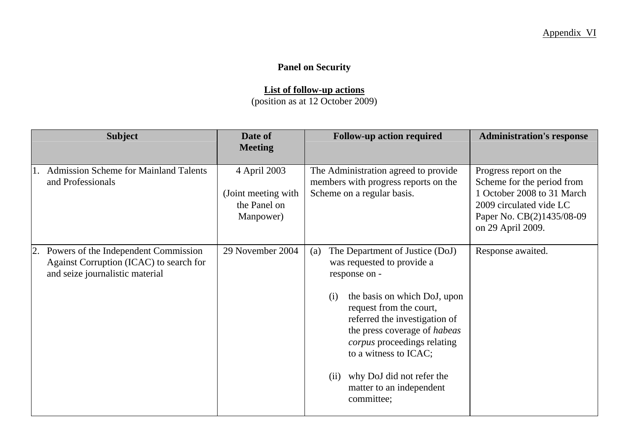## **Panel on Security**

## **List of follow-up actions**

(position as at 12 October 2009)

| <b>Subject</b>                                                                                                           | Date of<br><b>Meeting</b>                                        | <b>Follow-up action required</b>                                                                                                                                                                                                                                                                                                                                | <b>Administration's response</b>                                                                                                                                |
|--------------------------------------------------------------------------------------------------------------------------|------------------------------------------------------------------|-----------------------------------------------------------------------------------------------------------------------------------------------------------------------------------------------------------------------------------------------------------------------------------------------------------------------------------------------------------------|-----------------------------------------------------------------------------------------------------------------------------------------------------------------|
| <b>Admission Scheme for Mainland Talents</b><br>and Professionals                                                        | 4 April 2003<br>(Joint meeting with<br>the Panel on<br>Manpower) | The Administration agreed to provide<br>members with progress reports on the<br>Scheme on a regular basis.                                                                                                                                                                                                                                                      | Progress report on the<br>Scheme for the period from<br>1 October 2008 to 31 March<br>2009 circulated vide LC<br>Paper No. CB(2)1435/08-09<br>on 29 April 2009. |
| Powers of the Independent Commission<br>2.<br>Against Corruption (ICAC) to search for<br>and seize journalistic material | 29 November 2004                                                 | The Department of Justice (DoJ)<br>(a)<br>was requested to provide a<br>response on -<br>the basis on which DoJ, upon<br>(i)<br>request from the court,<br>referred the investigation of<br>the press coverage of habeas<br>corpus proceedings relating<br>to a witness to ICAC;<br>why DoJ did not refer the<br>(ii)<br>matter to an independent<br>committee; | Response awaited.                                                                                                                                               |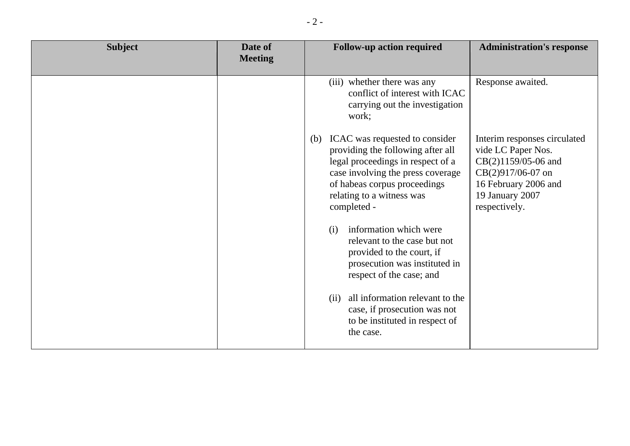| <b>Subject</b> | Date of<br><b>Meeting</b> | <b>Follow-up action required</b>                                                                                                                                                                                                 | <b>Administration's response</b>                                                                                                                           |
|----------------|---------------------------|----------------------------------------------------------------------------------------------------------------------------------------------------------------------------------------------------------------------------------|------------------------------------------------------------------------------------------------------------------------------------------------------------|
|                |                           | (iii) whether there was any<br>conflict of interest with ICAC<br>carrying out the investigation<br>work;                                                                                                                         | Response awaited.                                                                                                                                          |
|                |                           | ICAC was requested to consider<br>(b)<br>providing the following after all<br>legal proceedings in respect of a<br>case involving the press coverage<br>of habeas corpus proceedings<br>relating to a witness was<br>completed - | Interim responses circulated<br>vide LC Paper Nos.<br>CB(2)1159/05-06 and<br>CB(2)917/06-07 on<br>16 February 2006 and<br>19 January 2007<br>respectively. |
|                |                           | information which were<br>(i)<br>relevant to the case but not<br>provided to the court, if<br>prosecution was instituted in<br>respect of the case; and                                                                          |                                                                                                                                                            |
|                |                           | all information relevant to the<br>(ii)<br>case, if prosecution was not<br>to be instituted in respect of<br>the case.                                                                                                           |                                                                                                                                                            |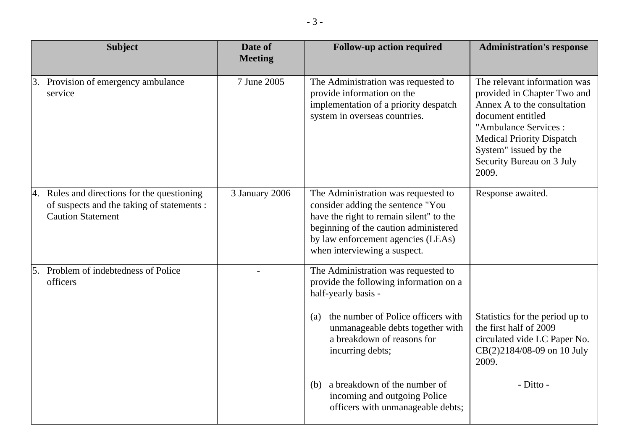| <b>Subject</b>                                                                                                        | Date of<br><b>Meeting</b> | <b>Follow-up action required</b>                                                                                                                                                                                                        | <b>Administration's response</b>                                                                                                                                                                                                           |
|-----------------------------------------------------------------------------------------------------------------------|---------------------------|-----------------------------------------------------------------------------------------------------------------------------------------------------------------------------------------------------------------------------------------|--------------------------------------------------------------------------------------------------------------------------------------------------------------------------------------------------------------------------------------------|
| Provision of emergency ambulance<br>3.<br>service                                                                     | 7 June 2005               | The Administration was requested to<br>provide information on the<br>implementation of a priority despatch<br>system in overseas countries.                                                                                             | The relevant information was<br>provided in Chapter Two and<br>Annex A to the consultation<br>document entitled<br>"Ambulance Services:<br><b>Medical Priority Dispatch</b><br>System" issued by the<br>Security Bureau on 3 July<br>2009. |
| 4. Rules and directions for the questioning<br>of suspects and the taking of statements :<br><b>Caution Statement</b> | 3 January 2006            | The Administration was requested to<br>consider adding the sentence "You<br>have the right to remain silent" to the<br>beginning of the caution administered<br>by law enforcement agencies (LEAs)<br>when interviewing a suspect.      | Response awaited.                                                                                                                                                                                                                          |
| 5. Problem of indebtedness of Police<br>officers                                                                      |                           | The Administration was requested to<br>provide the following information on a<br>half-yearly basis -<br>the number of Police officers with<br>(a)<br>unmanageable debts together with<br>a breakdown of reasons for<br>incurring debts; | Statistics for the period up to<br>the first half of 2009<br>circulated vide LC Paper No.<br>CB(2)2184/08-09 on 10 July<br>2009.                                                                                                           |
|                                                                                                                       |                           | a breakdown of the number of<br>(b)<br>incoming and outgoing Police<br>officers with unmanageable debts;                                                                                                                                | - Ditto -                                                                                                                                                                                                                                  |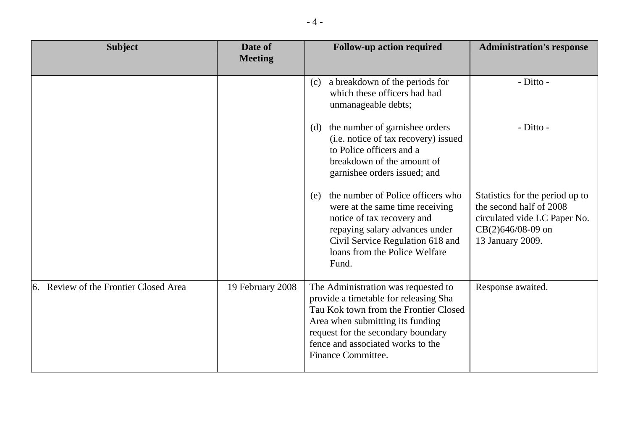| <b>Subject</b>                           | Date of<br><b>Meeting</b> | <b>Follow-up action required</b>                                                                                                                                                                                                                           | <b>Administration's response</b>                                                                                                      |
|------------------------------------------|---------------------------|------------------------------------------------------------------------------------------------------------------------------------------------------------------------------------------------------------------------------------------------------------|---------------------------------------------------------------------------------------------------------------------------------------|
|                                          |                           | a breakdown of the periods for<br>(c)<br>which these officers had had<br>unmanageable debts;                                                                                                                                                               | - Ditto -                                                                                                                             |
|                                          |                           | the number of garnishee orders<br>(d)<br>(i.e. notice of tax recovery) issued<br>to Police officers and a<br>breakdown of the amount of<br>garnishee orders issued; and                                                                                    | - Ditto -                                                                                                                             |
|                                          |                           | the number of Police officers who<br>(e)<br>were at the same time receiving<br>notice of tax recovery and<br>repaying salary advances under<br>Civil Service Regulation 618 and<br>loans from the Police Welfare<br>Fund.                                  | Statistics for the period up to<br>the second half of 2008<br>circulated vide LC Paper No.<br>$CB(2)646/08-09$ on<br>13 January 2009. |
| Review of the Frontier Closed Area<br>6. | 19 February 2008          | The Administration was requested to<br>provide a timetable for releasing Sha<br>Tau Kok town from the Frontier Closed<br>Area when submitting its funding<br>request for the secondary boundary<br>fence and associated works to the<br>Finance Committee. | Response awaited.                                                                                                                     |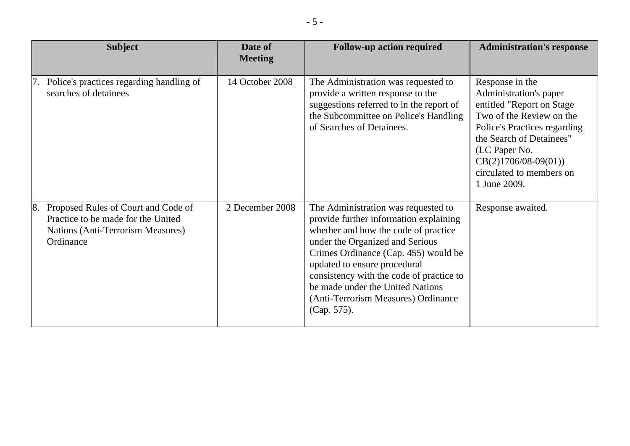|    | <b>Subject</b>                                                                                                                     | Date of<br><b>Meeting</b> | <b>Follow-up action required</b>                                                                                                                                                                                                                                                                                                                                       | <b>Administration's response</b>                                                                                                                                                                                                                       |
|----|------------------------------------------------------------------------------------------------------------------------------------|---------------------------|------------------------------------------------------------------------------------------------------------------------------------------------------------------------------------------------------------------------------------------------------------------------------------------------------------------------------------------------------------------------|--------------------------------------------------------------------------------------------------------------------------------------------------------------------------------------------------------------------------------------------------------|
|    | 7. Police's practices regarding handling of<br>searches of detainees                                                               | 14 October 2008           | The Administration was requested to<br>provide a written response to the<br>suggestions referred to in the report of<br>the Subcommittee on Police's Handling<br>of Searches of Detainees.                                                                                                                                                                             | Response in the<br>Administration's paper<br>entitled "Report on Stage"<br>Two of the Review on the<br>Police's Practices regarding<br>the Search of Detainees"<br>(LC Paper No.<br>$CB(2)1706/08-09(01))$<br>circulated to members on<br>1 June 2009. |
| 8. | Proposed Rules of Court and Code of<br>Practice to be made for the United<br><b>Nations (Anti-Terrorism Measures)</b><br>Ordinance | 2 December 2008           | The Administration was requested to<br>provide further information explaining<br>whether and how the code of practice<br>under the Organized and Serious<br>Crimes Ordinance (Cap. 455) would be<br>updated to ensure procedural<br>consistency with the code of practice to<br>be made under the United Nations<br>(Anti-Terrorism Measures) Ordinance<br>(Cap. 575). | Response awaited.                                                                                                                                                                                                                                      |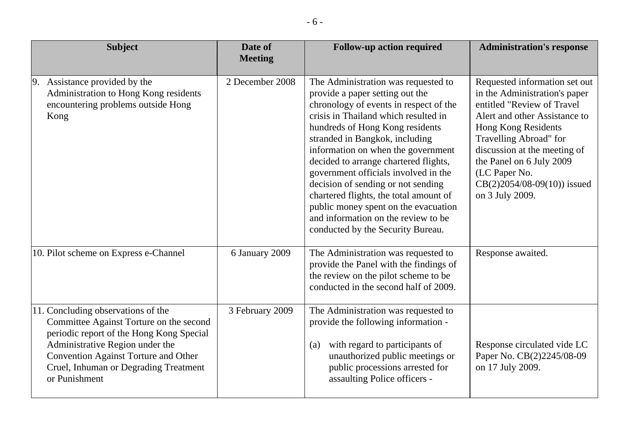| <b>Subject</b>                                                                                                                                                                                                                                                        | Date of<br><b>Meeting</b> | <b>Follow-up action required</b>                                                                                                                                                                                                                                                                                                                                                                                                                                                                                                                         | <b>Administration's response</b>                                                                                                                                                                                                                                                                                |
|-----------------------------------------------------------------------------------------------------------------------------------------------------------------------------------------------------------------------------------------------------------------------|---------------------------|----------------------------------------------------------------------------------------------------------------------------------------------------------------------------------------------------------------------------------------------------------------------------------------------------------------------------------------------------------------------------------------------------------------------------------------------------------------------------------------------------------------------------------------------------------|-----------------------------------------------------------------------------------------------------------------------------------------------------------------------------------------------------------------------------------------------------------------------------------------------------------------|
| 9. Assistance provided by the<br>Administration to Hong Kong residents<br>encountering problems outside Hong<br>Kong                                                                                                                                                  | 2 December 2008           | The Administration was requested to<br>provide a paper setting out the<br>chronology of events in respect of the<br>crisis in Thailand which resulted in<br>hundreds of Hong Kong residents<br>stranded in Bangkok, including<br>information on when the government<br>decided to arrange chartered flights,<br>government officials involved in the<br>decision of sending or not sending<br>chartered flights, the total amount of<br>public money spent on the evacuation<br>and information on the review to be<br>conducted by the Security Bureau. | Requested information set out<br>in the Administration's paper<br>entitled "Review of Travel<br>Alert and other Assistance to<br>Hong Kong Residents<br>Travelling Abroad" for<br>discussion at the meeting of<br>the Panel on 6 July 2009<br>(LC Paper No.<br>$CB(2)2054/08-09(10))$ issued<br>on 3 July 2009. |
| 10. Pilot scheme on Express e-Channel                                                                                                                                                                                                                                 | 6 January 2009            | The Administration was requested to<br>provide the Panel with the findings of<br>the review on the pilot scheme to be<br>conducted in the second half of 2009.                                                                                                                                                                                                                                                                                                                                                                                           | Response awaited.                                                                                                                                                                                                                                                                                               |
| 11. Concluding observations of the<br>Committee Against Torture on the second<br>periodic report of the Hong Kong Special<br>Administrative Region under the<br><b>Convention Against Torture and Other</b><br>Cruel, Inhuman or Degrading Treatment<br>or Punishment | 3 February 2009           | The Administration was requested to<br>provide the following information -<br>with regard to participants of<br>(a)<br>unauthorized public meetings or<br>public processions arrested for<br>assaulting Police officers -                                                                                                                                                                                                                                                                                                                                | Response circulated vide LC<br>Paper No. CB(2)2245/08-09<br>on 17 July 2009.                                                                                                                                                                                                                                    |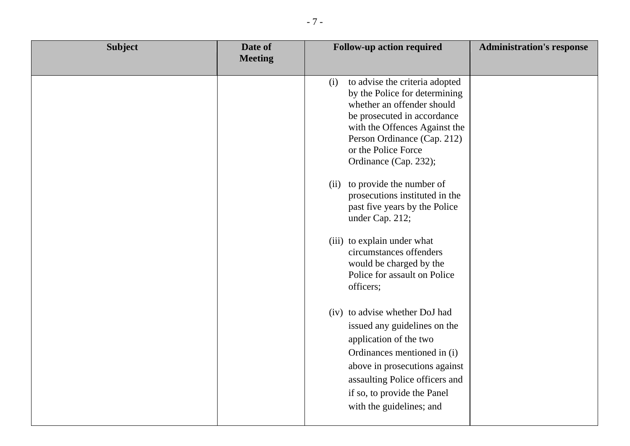| <b>Subject</b> | Date of<br><b>Meeting</b> | <b>Follow-up action required</b>                                                                                                                                                                                                                                                                                                                                                                                                                                                                                                                                                                                                           | <b>Administration's response</b> |
|----------------|---------------------------|--------------------------------------------------------------------------------------------------------------------------------------------------------------------------------------------------------------------------------------------------------------------------------------------------------------------------------------------------------------------------------------------------------------------------------------------------------------------------------------------------------------------------------------------------------------------------------------------------------------------------------------------|----------------------------------|
|                |                           | to advise the criteria adopted<br>(i)<br>by the Police for determining<br>whether an offender should<br>be prosecuted in accordance<br>with the Offences Against the<br>Person Ordinance (Cap. 212)<br>or the Police Force<br>Ordinance (Cap. 232);<br>to provide the number of<br>(ii)<br>prosecutions instituted in the<br>past five years by the Police<br>under Cap. 212;<br>(iii) to explain under what<br>circumstances offenders<br>would be charged by the<br>Police for assault on Police<br>officers;<br>(iv) to advise whether DoJ had<br>issued any guidelines on the<br>application of the two<br>Ordinances mentioned in (i) |                                  |
|                |                           | above in prosecutions against<br>assaulting Police officers and<br>if so, to provide the Panel<br>with the guidelines; and                                                                                                                                                                                                                                                                                                                                                                                                                                                                                                                 |                                  |
|                |                           |                                                                                                                                                                                                                                                                                                                                                                                                                                                                                                                                                                                                                                            |                                  |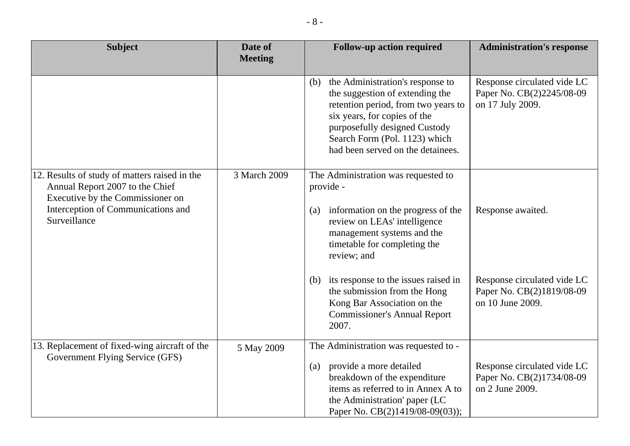| <b>Subject</b>                                                                                                                                                             | Date of<br><b>Meeting</b> | <b>Follow-up action required</b>                                                                                                                                                                                                                         | <b>Administration's response</b>                                             |
|----------------------------------------------------------------------------------------------------------------------------------------------------------------------------|---------------------------|----------------------------------------------------------------------------------------------------------------------------------------------------------------------------------------------------------------------------------------------------------|------------------------------------------------------------------------------|
|                                                                                                                                                                            |                           | the Administration's response to<br>(b)<br>the suggestion of extending the<br>retention period, from two years to<br>six years, for copies of the<br>purposefully designed Custody<br>Search Form (Pol. 1123) which<br>had been served on the detainees. | Response circulated vide LC<br>Paper No. CB(2)2245/08-09<br>on 17 July 2009. |
| 12. Results of study of matters raised in the<br>Annual Report 2007 to the Chief<br>Executive by the Commissioner on<br>Interception of Communications and<br>Surveillance | 3 March 2009              | The Administration was requested to<br>provide -<br>information on the progress of the<br>(a)<br>review on LEAs' intelligence<br>management systems and the<br>timetable for completing the<br>review; and                                               | Response awaited.                                                            |
|                                                                                                                                                                            |                           | (b) its response to the issues raised in<br>the submission from the Hong<br>Kong Bar Association on the<br><b>Commissioner's Annual Report</b><br>2007.                                                                                                  | Response circulated vide LC<br>Paper No. CB(2)1819/08-09<br>on 10 June 2009. |
| 13. Replacement of fixed-wing aircraft of the<br>Government Flying Service (GFS)                                                                                           | 5 May 2009                | The Administration was requested to -<br>provide a more detailed<br>(a)<br>breakdown of the expenditure<br>items as referred to in Annex A to<br>the Administration' paper (LC<br>Paper No. CB(2)1419/08-09(03));                                        | Response circulated vide LC<br>Paper No. CB(2)1734/08-09<br>on 2 June 2009.  |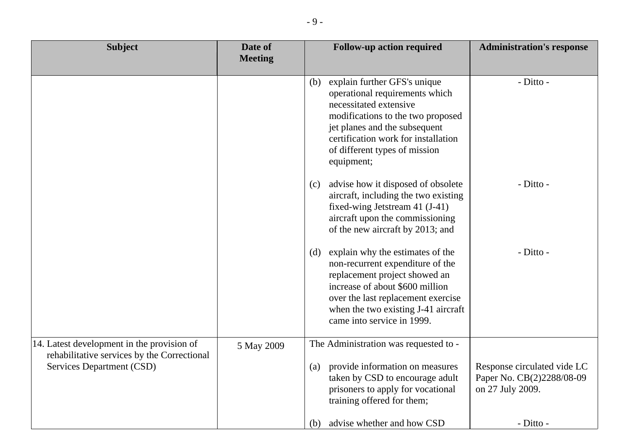| <b>Subject</b>                                                                                                         | Date of<br><b>Meeting</b> | <b>Follow-up action required</b><br><b>Administration's response</b>                                                                                                                                                                                                     |
|------------------------------------------------------------------------------------------------------------------------|---------------------------|--------------------------------------------------------------------------------------------------------------------------------------------------------------------------------------------------------------------------------------------------------------------------|
|                                                                                                                        |                           | explain further GFS's unique<br>- Ditto -<br>(b)<br>operational requirements which<br>necessitated extensive<br>modifications to the two proposed<br>jet planes and the subsequent<br>certification work for installation<br>of different types of mission<br>equipment; |
|                                                                                                                        |                           | - Ditto -<br>advise how it disposed of obsolete<br>(c)<br>aircraft, including the two existing<br>fixed-wing Jetstream 41 (J-41)<br>aircraft upon the commissioning<br>of the new aircraft by 2013; and                                                                  |
|                                                                                                                        |                           | - Ditto -<br>explain why the estimates of the<br>(d)<br>non-recurrent expenditure of the<br>replacement project showed an<br>increase of about \$600 million<br>over the last replacement exercise<br>when the two existing J-41 aircraft<br>came into service in 1999.  |
| 14. Latest development in the provision of<br>rehabilitative services by the Correctional<br>Services Department (CSD) | 5 May 2009                | The Administration was requested to -<br>provide information on measures<br>Response circulated vide LC<br>(a)<br>taken by CSD to encourage adult<br>Paper No. CB(2)2288/08-09<br>prisoners to apply for vocational<br>on 27 July 2009.<br>training offered for them;    |
|                                                                                                                        |                           | advise whether and how CSD<br>- Ditto -<br>(b)                                                                                                                                                                                                                           |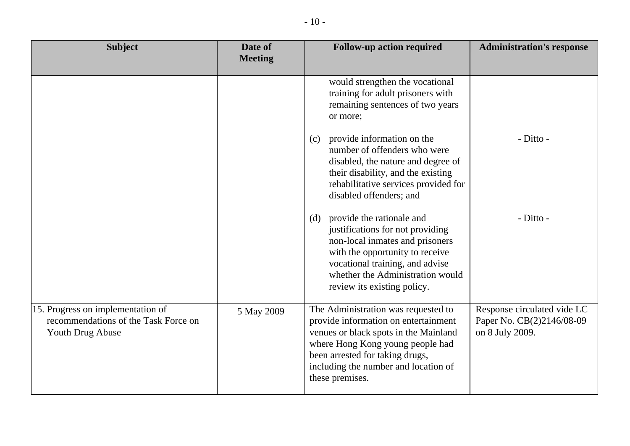| <b>Subject</b>                                                                                | Date of<br><b>Meeting</b> | <b>Follow-up action required</b>                                                                                                                                                                                                                       | <b>Administration's response</b>                                            |
|-----------------------------------------------------------------------------------------------|---------------------------|--------------------------------------------------------------------------------------------------------------------------------------------------------------------------------------------------------------------------------------------------------|-----------------------------------------------------------------------------|
|                                                                                               |                           | would strengthen the vocational<br>training for adult prisoners with<br>remaining sentences of two years<br>or more;                                                                                                                                   |                                                                             |
|                                                                                               |                           | provide information on the<br>(c)<br>number of offenders who were<br>disabled, the nature and degree of<br>their disability, and the existing<br>rehabilitative services provided for<br>disabled offenders; and                                       | - Ditto -                                                                   |
|                                                                                               |                           | provide the rationale and<br>(d)<br>justifications for not providing<br>non-local inmates and prisoners<br>with the opportunity to receive<br>vocational training, and advise<br>whether the Administration would<br>review its existing policy.       | - Ditto -                                                                   |
| 15. Progress on implementation of<br>recommendations of the Task Force on<br>Youth Drug Abuse | 5 May 2009                | The Administration was requested to<br>provide information on entertainment<br>venues or black spots in the Mainland<br>where Hong Kong young people had<br>been arrested for taking drugs,<br>including the number and location of<br>these premises. | Response circulated vide LC<br>Paper No. CB(2)2146/08-09<br>on 8 July 2009. |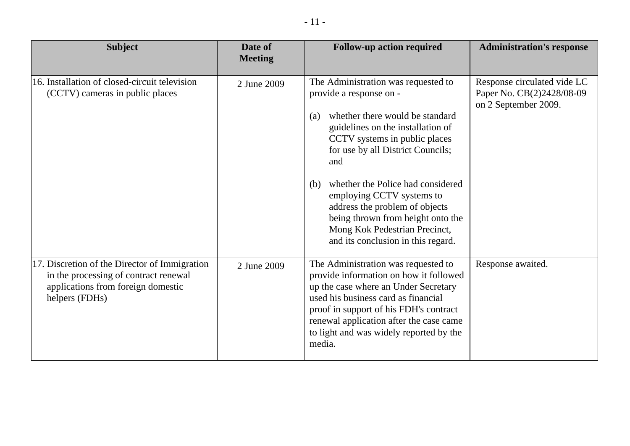| <b>Subject</b>                                                                                                                                 | Date of<br><b>Meeting</b> | <b>Follow-up action required</b>                                                                                                                                                                                                                                                                                                                                                                                                                  | <b>Administration's response</b>                                                 |
|------------------------------------------------------------------------------------------------------------------------------------------------|---------------------------|---------------------------------------------------------------------------------------------------------------------------------------------------------------------------------------------------------------------------------------------------------------------------------------------------------------------------------------------------------------------------------------------------------------------------------------------------|----------------------------------------------------------------------------------|
| 16. Installation of closed-circuit television<br>(CCTV) cameras in public places                                                               | 2 June 2009               | The Administration was requested to<br>provide a response on -<br>whether there would be standard<br>(a)<br>guidelines on the installation of<br>CCTV systems in public places<br>for use by all District Councils;<br>and<br>whether the Police had considered<br>(b)<br>employing CCTV systems to<br>address the problem of objects<br>being thrown from height onto the<br>Mong Kok Pedestrian Precinct,<br>and its conclusion in this regard. | Response circulated vide LC<br>Paper No. CB(2)2428/08-09<br>on 2 September 2009. |
| 17. Discretion of the Director of Immigration<br>in the processing of contract renewal<br>applications from foreign domestic<br>helpers (FDHs) | 2 June 2009               | The Administration was requested to<br>provide information on how it followed<br>up the case where an Under Secretary<br>used his business card as financial<br>proof in support of his FDH's contract<br>renewal application after the case came<br>to light and was widely reported by the<br>media.                                                                                                                                            | Response awaited.                                                                |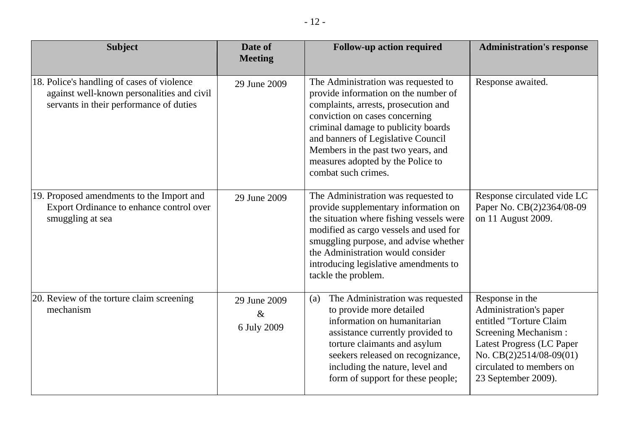| <b>Subject</b>                                                                                                                      | Date of<br><b>Meeting</b>           | <b>Follow-up action required</b>                                                                                                                                                                                                                                                                                                     | <b>Administration's response</b>                                                                                                                                                                          |
|-------------------------------------------------------------------------------------------------------------------------------------|-------------------------------------|--------------------------------------------------------------------------------------------------------------------------------------------------------------------------------------------------------------------------------------------------------------------------------------------------------------------------------------|-----------------------------------------------------------------------------------------------------------------------------------------------------------------------------------------------------------|
| 18. Police's handling of cases of violence<br>against well-known personalities and civil<br>servants in their performance of duties | 29 June 2009                        | The Administration was requested to<br>provide information on the number of<br>complaints, arrests, prosecution and<br>conviction on cases concerning<br>criminal damage to publicity boards<br>and banners of Legislative Council<br>Members in the past two years, and<br>measures adopted by the Police to<br>combat such crimes. | Response awaited.                                                                                                                                                                                         |
| 19. Proposed amendments to the Import and<br>Export Ordinance to enhance control over<br>smuggling at sea                           | 29 June 2009                        | The Administration was requested to<br>provide supplementary information on<br>the situation where fishing vessels were<br>modified as cargo vessels and used for<br>smuggling purpose, and advise whether<br>the Administration would consider<br>introducing legislative amendments to<br>tackle the problem.                      | Response circulated vide LC<br>Paper No. CB(2)2364/08-09<br>on 11 August 2009.                                                                                                                            |
| 20. Review of the torture claim screening<br>mechanism                                                                              | 29 June 2009<br>$\&$<br>6 July 2009 | The Administration was requested<br>(a)<br>to provide more detailed<br>information on humanitarian<br>assistance currently provided to<br>torture claimants and asylum<br>seekers released on recognizance,<br>including the nature, level and<br>form of support for these people;                                                  | Response in the<br>Administration's paper<br>entitled "Torture Claim<br>Screening Mechanism:<br>Latest Progress (LC Paper<br>No. $CB(2)2514/08-09(01)$<br>circulated to members on<br>23 September 2009). |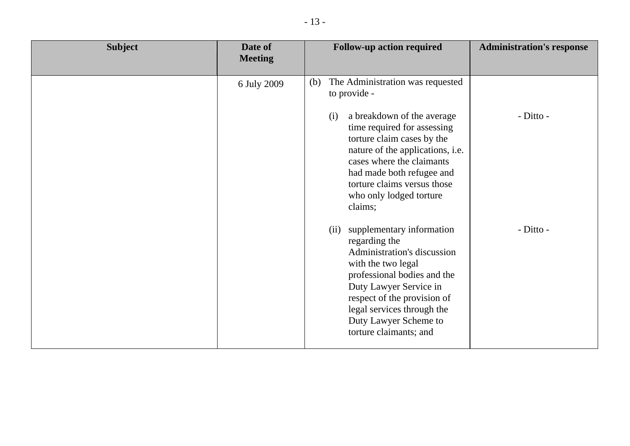| <b>Subject</b> | Date of<br><b>Meeting</b> | <b>Follow-up action required</b>                                                                                                                                                                                                                                                 | <b>Administration's response</b> |
|----------------|---------------------------|----------------------------------------------------------------------------------------------------------------------------------------------------------------------------------------------------------------------------------------------------------------------------------|----------------------------------|
|                | 6 July 2009               | The Administration was requested<br>(b)<br>to provide -                                                                                                                                                                                                                          |                                  |
|                |                           | a breakdown of the average<br>(i)<br>time required for assessing<br>torture claim cases by the<br>nature of the applications, i.e.<br>cases where the claimants<br>had made both refugee and<br>torture claims versus those<br>who only lodged torture<br>claims;                | - Ditto -                        |
|                |                           | supplementary information<br>(ii)<br>regarding the<br>Administration's discussion<br>with the two legal<br>professional bodies and the<br>Duty Lawyer Service in<br>respect of the provision of<br>legal services through the<br>Duty Lawyer Scheme to<br>torture claimants; and | - Ditto -                        |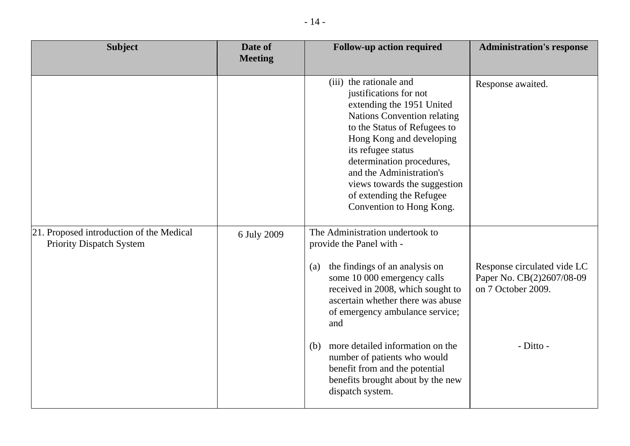| <b>Subject</b>                                                              | Date of<br><b>Meeting</b> | <b>Follow-up action required</b>                                                                                                                                                                                                                                                                                                                        | <b>Administration's response</b>                         |
|-----------------------------------------------------------------------------|---------------------------|---------------------------------------------------------------------------------------------------------------------------------------------------------------------------------------------------------------------------------------------------------------------------------------------------------------------------------------------------------|----------------------------------------------------------|
|                                                                             |                           | (iii) the rationale and<br>justifications for not<br>extending the 1951 United<br><b>Nations Convention relating</b><br>to the Status of Refugees to<br>Hong Kong and developing<br>its refugee status<br>determination procedures,<br>and the Administration's<br>views towards the suggestion<br>of extending the Refugee<br>Convention to Hong Kong. | Response awaited.                                        |
| 21. Proposed introduction of the Medical<br><b>Priority Dispatch System</b> | 6 July 2009               | The Administration undertook to<br>provide the Panel with -<br>the findings of an analysis on<br>(a)<br>some 10 000 emergency calls                                                                                                                                                                                                                     | Response circulated vide LC<br>Paper No. CB(2)2607/08-09 |
|                                                                             |                           | received in 2008, which sought to<br>ascertain whether there was abuse<br>of emergency ambulance service;<br>and                                                                                                                                                                                                                                        | on 7 October 2009.                                       |
|                                                                             |                           | more detailed information on the<br>(b)<br>number of patients who would<br>benefit from and the potential<br>benefits brought about by the new<br>dispatch system.                                                                                                                                                                                      | - Ditto -                                                |